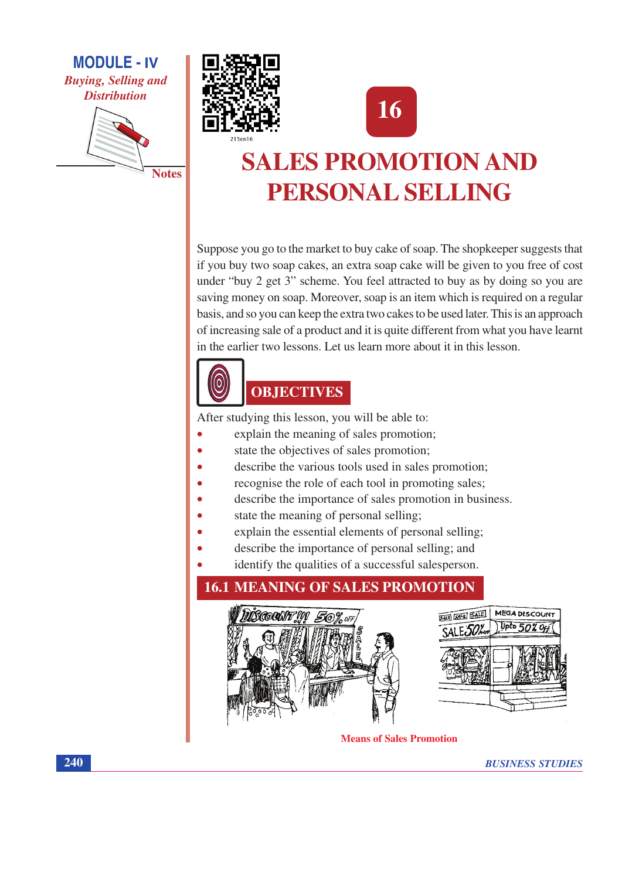







# **SALES PROMOTION AND** PERSONAL SELLING

Suppose you go to the market to buy cake of soap. The shopkeeper suggests that if you buy two soap cakes, an extra soap cake will be given to you free of cost under "buy 2 get 3" scheme. You feel attracted to buy as by doing so you are saving money on soap. Moreover, soap is an item which is required on a regular basis, and so you can keep the extra two cakes to be used later. This is an approach of increasing sale of a product and it is quite different from what you have learnt in the earlier two lessons. Let us learn more about it in this lesson.



# **OBJECTIVES**

After studying this lesson, you will be able to:

- explain the meaning of sales promotion;
- state the objectives of sales promotion;
- describe the various tools used in sales promotion;
- recognise the role of each tool in promoting sales;
- describe the importance of sales promotion in business.
- state the meaning of personal selling;
- explain the essential elements of personal selling;
- describe the importance of personal selling; and
- identify the qualities of a successful salesperson.

# **16.1 MEANING OF SALES PROMOTION BALL COLLE BALE** MEGA DISCOUNT **BROODNE III SOY** Upto  $50\%$  Of

**Means of Sales Promotion** 

**BUSINESS STUDIES**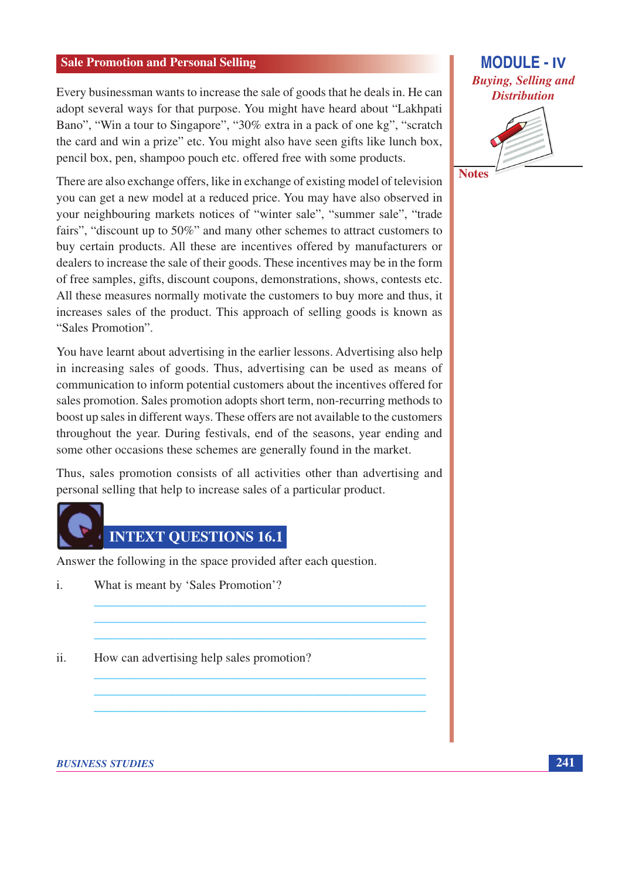Every businessman wants to increase the sale of goods that he deals in. He can adopt several ways for that purpose. You might have heard about "Lakhpati Bano", "Win a tour to Singapore", "30% extra in a pack of one kg", "scratch the card and win a prize" etc. You might also have seen gifts like lunch box, pencil box, pen, shampoo pouch etc. offered free with some products.

There are also exchange offers, like in exchange of existing model of television you can get a new model at a reduced price. You may have also observed in your neighbouring markets notices of "winter sale", "summer sale", "trade fairs", "discount up to 50%" and many other schemes to attract customers to buy certain products. All these are incentives offered by manufacturers or dealers to increase the sale of their goods. These incentives may be in the form of free samples, gifts, discount coupons, demonstrations, shows, contests etc. All these measures normally motivate the customers to buy more and thus, it increases sales of the product. This approach of selling goods is known as "Sales Promotion"

You have learnt about advertising in the earlier lessons. Advertising also help in increasing sales of goods. Thus, advertising can be used as means of communication to inform potential customers about the incentives offered for sales promotion. Sales promotion adopts short term, non-recurring methods to boost up sales in different ways. These offers are not available to the customers throughout the year. During festivals, end of the seasons, year ending and some other occasions these schemes are generally found in the market.

Thus, sales promotion consists of all activities other than advertising and personal selling that help to increase sales of a particular product.



Answer the following in the space provided after each question.

- What is meant by 'Sales Promotion'?  $\mathbf{i}$ .
- $ii.$ How can advertising help sales promotion?

**MODULE - IV Buying, Selling and Distribution** 

**Notes** 

**BUSINESS STUDIES**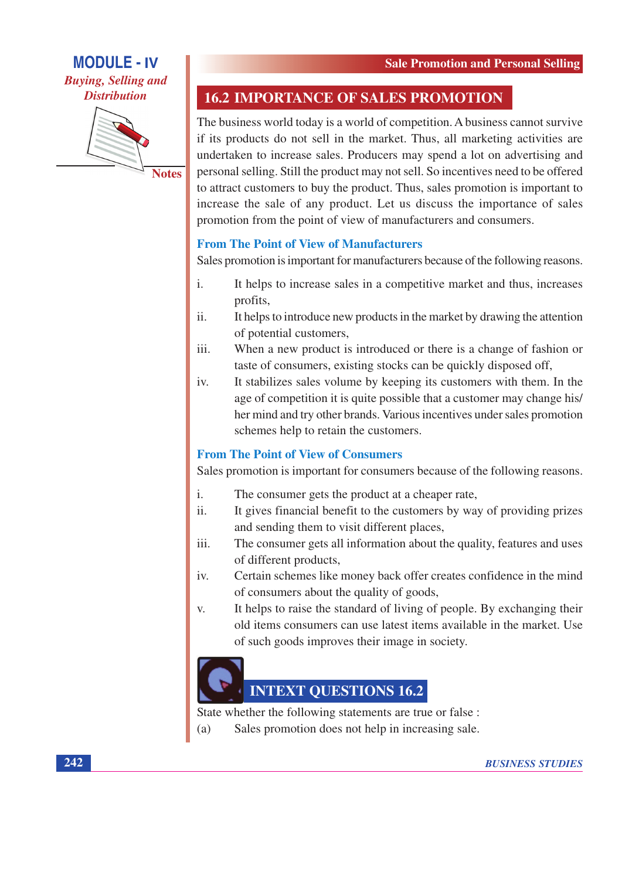**Buying, Selling and Distribution** 



**Notes** 

## **16.2 IMPORTANCE OF SALES PROMOTION**

The business world today is a world of competition. A business cannot survive if its products do not sell in the market. Thus, all marketing activities are undertaken to increase sales. Producers may spend a lot on advertising and personal selling. Still the product may not sell. So incentives need to be offered to attract customers to buy the product. Thus, sales promotion is important to increase the sale of any product. Let us discuss the importance of sales promotion from the point of view of manufacturers and consumers.

### **From The Point of View of Manufacturers**

Sales promotion is important for manufacturers because of the following reasons.

- $\mathbf{i}$ . It helps to increase sales in a competitive market and thus, increases profits,
- ii. It helps to introduce new products in the market by drawing the attention of potential customers,
- iii. When a new product is introduced or there is a change of fashion or taste of consumers, existing stocks can be quickly disposed off,
- iv. It stabilizes sales volume by keeping its customers with them. In the age of competition it is quite possible that a customer may change his/ her mind and try other brands. Various incentives under sales promotion schemes help to retain the customers.

## **From The Point of View of Consumers**

Sales promotion is important for consumers because of the following reasons.

- $\mathbf{i}$ . The consumer gets the product at a cheaper rate,
- It gives financial benefit to the customers by way of providing prizes ii. and sending them to visit different places,
- The consumer gets all information about the quality, features and uses iii. of different products,
- iv. Certain schemes like money back offer creates confidence in the mind of consumers about the quality of goods,
- It helps to raise the standard of living of people. By exchanging their V. old items consumers can use latest items available in the market. Use of such goods improves their image in society.



## **INTEXT QUESTIONS 16.2**

State whether the following statements are true or false :

Sales promotion does not help in increasing sale.  $(a)$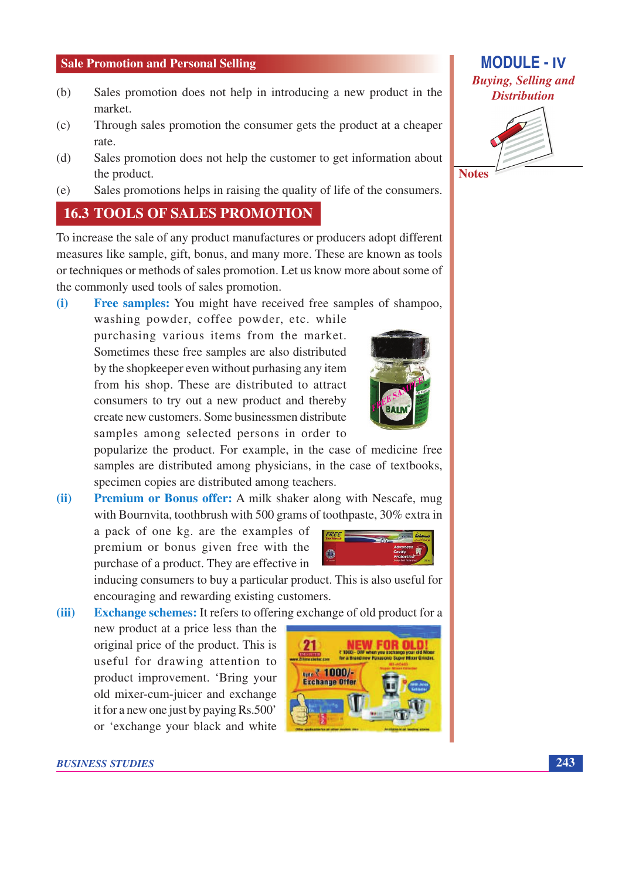- Sales promotion does not help in introducing a new product in the  $(b)$ market.
- $(c)$ Through sales promotion the consumer gets the product at a cheaper rate.
- Sales promotion does not help the customer to get information about  $(d)$ the product.
- Sales promotions helps in raising the quality of life of the consumers.  $(e)$

### **16.3 TOOLS OF SALES PROMOTION**

To increase the sale of any product manufactures or producers adopt different measures like sample, gift, bonus, and many more. These are known as tools or techniques or methods of sales promotion. Let us know more about some of the commonly used tools of sales promotion.

**Free samples:** You might have received free samples of shampoo.  $(i)$ 

washing powder, coffee powder, etc. while purchasing various items from the market. Sometimes these free samples are also distributed by the shopkeeper even without purhasing any item from his shop. These are distributed to attract consumers to try out a new product and thereby create new customers. Some businessmen distribute samples among selected persons in order to

popularize the product. For example, in the case of medicine free samples are distributed among physicians, in the case of textbooks, specimen copies are distributed among teachers.

**Premium or Bonus offer:** A milk shaker along with Nescafe, mug  $(ii)$ with Bournvita, toothbrush with 500 grams of toothpaste, 30% extra in

a pack of one kg. are the examples of premium or bonus given free with the purchase of a product. They are effective in

new product at a price less than the original price of the product. This is

useful for drawing attention to

product improvement. 'Bring your

old mixer-cum-juicer and exchange it for a new one just by paying Rs.500'

inducing consumers to buy a particular product. This is also useful for encouraging and rewarding existing customers.

**Exchange schemes:** It refers to offering exchange of old product for a  $(iii)$ 



FREE

**Exchange Offer** 



**MODULE - IV** 

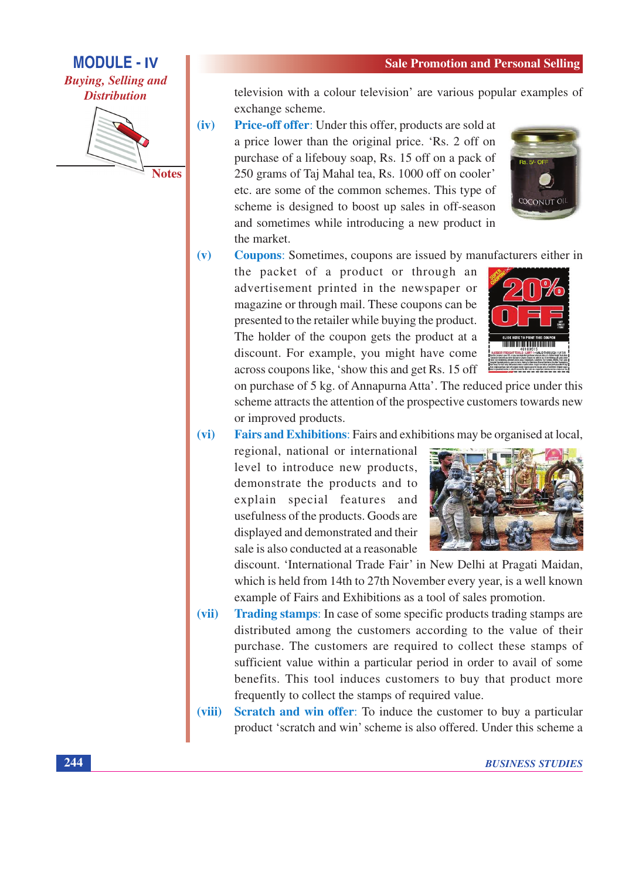**MODULE - IV Buying, Selling and Distribution** 



**Notes** 

television with a colour television' are various popular examples of exchange scheme.

 $(iv)$ Price-off offer: Under this offer, products are sold at a price lower than the original price. 'Rs. 2 off on purchase of a lifebouy soap, Rs. 15 off on a pack of 250 grams of Taj Mahal tea, Rs. 1000 off on cooler' etc. are some of the common schemes. This type of scheme is designed to boost up sales in off-season and sometimes while introducing a new product in the market.



 $(v)$ Coupons: Sometimes, coupons are issued by manufacturers either in

the packet of a product or through an advertisement printed in the newspaper or magazine or through mail. These coupons can be presented to the retailer while buying the product. The holder of the coupon gets the product at a discount. For example, you might have come across coupons like, 'show this and get Rs. 15 off



on purchase of 5 kg. of Annapurna Atta'. The reduced price under this scheme attracts the attention of the prospective customers towards new or improved products.

 $(vi)$ **Fairs and Exhibitions:** Fairs and exhibitions may be organised at local,

regional, national or international level to introduce new products, demonstrate the products and to explain special features and usefulness of the products. Goods are displayed and demonstrated and their sale is also conducted at a reasonable



discount. 'International Trade Fair' in New Delhi at Pragati Maidan, which is held from 14th to 27th November every year, is a well known example of Fairs and Exhibitions as a tool of sales promotion.

- **Trading stamps:** In case of some specific products trading stamps are  $(vii)$ distributed among the customers according to the value of their purchase. The customers are required to collect these stamps of sufficient value within a particular period in order to avail of some benefits. This tool induces customers to buy that product more frequently to collect the stamps of required value.
- Scratch and win offer: To induce the customer to buy a particular  $(viii)$ product 'scratch and win' scheme is also offered. Under this scheme a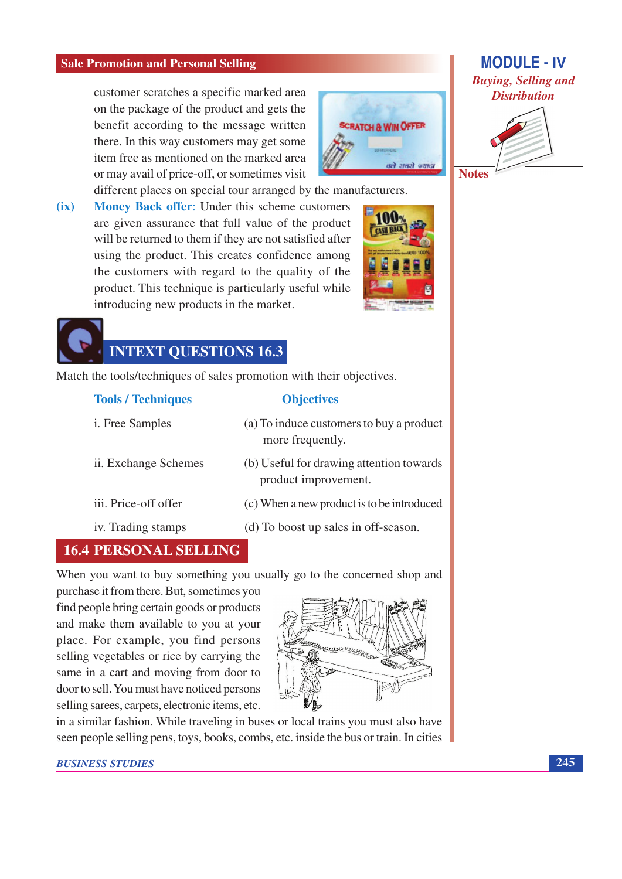customer scratches a specific marked area on the package of the product and gets the benefit according to the message written there. In this way customers may get some item free as mentioned on the marked area or may avail of price-off, or sometimes visit



different places on special tour arranged by the manufacturers.

Money Back offer: Under this scheme customers  $(ix)$ are given assurance that full value of the product will be returned to them if they are not satisfied after using the product. This creates confidence among the customers with regard to the quality of the product. This technique is particularly useful while introducing new products in the market.



# **INTEXT QUESTIONS 16.3**

Match the tools/techniques of sales promotion with their objectives.

| <b>Tools / Techniques</b> | <b>Objectives</b>                                                |
|---------------------------|------------------------------------------------------------------|
| <i>i.</i> Free Samples    | (a) To induce customers to buy a product<br>more frequently.     |
| ii. Exchange Schemes      | (b) Useful for drawing attention towards<br>product improvement. |
| iii. Price-off offer      | (c) When a new product is to be introduced                       |
| iv. Trading stamps        | (d) To boost up sales in off-season.                             |

## **16.4 PERSONAL SELLING**

When you want to buy something you usually go to the concerned shop and

purchase it from there. But, sometimes you find people bring certain goods or products and make them available to you at your place. For example, you find persons selling vegetables or rice by carrying the same in a cart and moving from door to door to sell. You must have noticed persons selling sarees, carpets, electronic items, etc.



in a similar fashion. While traveling in buses or local trains you must also have seen people selling pens, toys, books, combs, etc. inside the bus or train. In cities



**Notes**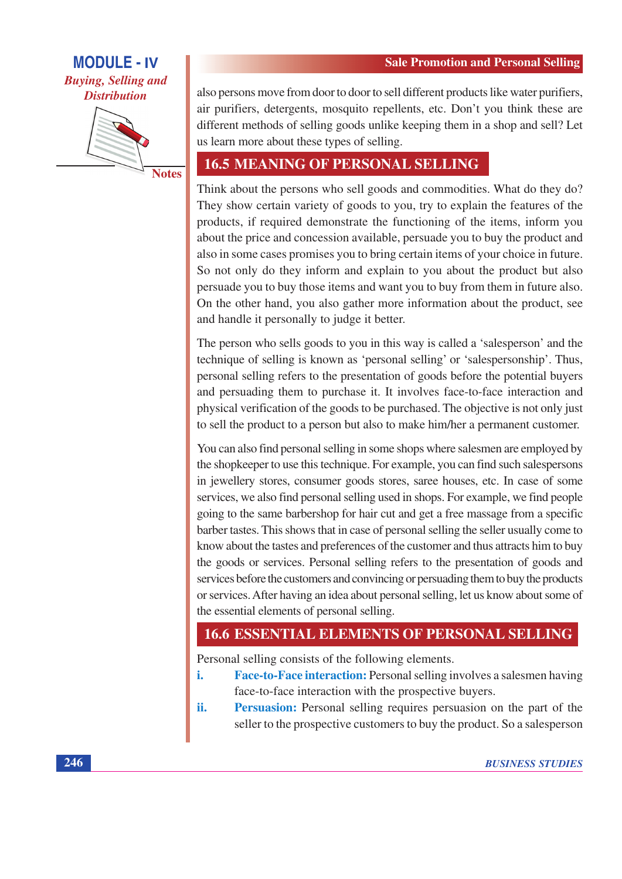**Buying, Selling and Distribution** 



also persons move from door to door to sell different products like water purifiers, air purifiers, detergents, mosquito repellents, etc. Don't you think these are different methods of selling goods unlike keeping them in a shop and sell? Let us learn more about these types of selling.

## **16.5 MEANING OF PERSONAL SELLING**

Think about the persons who sell goods and commodities. What do they do? They show certain variety of goods to you, try to explain the features of the products, if required demonstrate the functioning of the items, inform you about the price and concession available, persuade you to buy the product and also in some cases promises you to bring certain items of your choice in future. So not only do they inform and explain to you about the product but also persuade you to buy those items and want you to buy from them in future also. On the other hand, you also gather more information about the product, see and handle it personally to judge it better.

The person who sells goods to you in this way is called a 'salesperson' and the technique of selling is known as 'personal selling' or 'salespersonship'. Thus, personal selling refers to the presentation of goods before the potential buyers and persuading them to purchase it. It involves face-to-face interaction and physical verification of the goods to be purchased. The objective is not only just to sell the product to a person but also to make him/her a permanent customer.

You can also find personal selling in some shops where salesmen are employed by the shopkeeper to use this technique. For example, you can find such salespersons in jewellery stores, consumer goods stores, saree houses, etc. In case of some services, we also find personal selling used in shops. For example, we find people going to the same barbershop for hair cut and get a free massage from a specific barber tastes. This shows that in case of personal selling the seller usually come to know about the tastes and preferences of the customer and thus attracts him to buy the goods or services. Personal selling refers to the presentation of goods and services before the customers and convincing or persuading them to buy the products or services. After having an idea about personal selling, let us know about some of the essential elements of personal selling.

## **16.6 ESSENTIAL ELEMENTS OF PERSONAL SELLING**

Personal selling consists of the following elements.

- Face-to-Face interaction: Personal selling involves a salesmen having i. face-to-face interaction with the prospective buyers.
- ii. **Persuasion:** Personal selling requires persuasion on the part of the seller to the prospective customers to buy the product. So a salesperson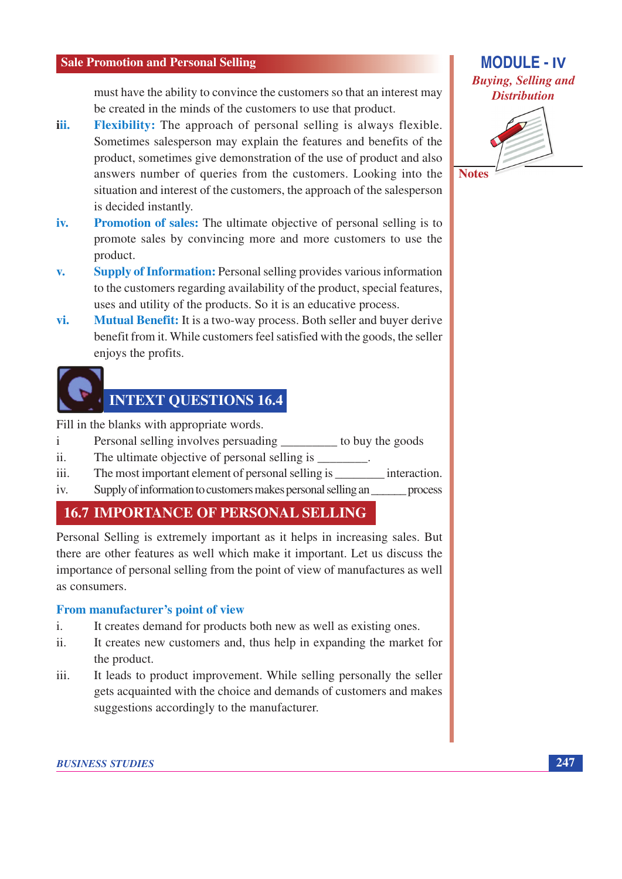must have the ability to convince the customers so that an interest may be created in the minds of the customers to use that product.

- **Flexibility:** The approach of personal selling is always flexible. iii. Sometimes salesperson may explain the features and benefits of the product, sometimes give demonstration of the use of product and also answers number of queries from the customers. Looking into the situation and interest of the customers, the approach of the salesperson is decided instantly.
- **Promotion of sales:** The ultimate objective of personal selling is to iv. promote sales by convincing more and more customers to use the product.
- **Supply of Information:** Personal selling provides various information  $\mathbf{v}$ . to the customers regarding availability of the product, special features, uses and utility of the products. So it is an educative process.
- Mutual Benefit: It is a two-way process. Both seller and buyer derive vi. benefit from it. While customers feel satisfied with the goods, the seller enjoys the profits.

# **INTEXT QUESTIONS 16.4**

Fill in the blanks with appropriate words.

- Personal selling involves persuading to buy the goods  $\mathbf{i}$
- $ii.$ The ultimate objective of personal selling is
- iii.
- $iv$ Supply of information to customers makes personal selling an process

## **16.7 IMPORTANCE OF PERSONAL SELLING**

Personal Selling is extremely important as it helps in increasing sales. But there are other features as well which make it important. Let us discuss the importance of personal selling from the point of view of manufactures as well as consumers.

#### From manufacturer's point of view

- $\mathbf{i}$ . It creates demand for products both new as well as existing ones.
- $ii$ It creates new customers and, thus help in expanding the market for the product.
- It leads to product improvement. While selling personally the seller iii. gets acquainted with the choice and demands of customers and makes suggestions accordingly to the manufacturer.

#### **BUSINESS STUDIES**



247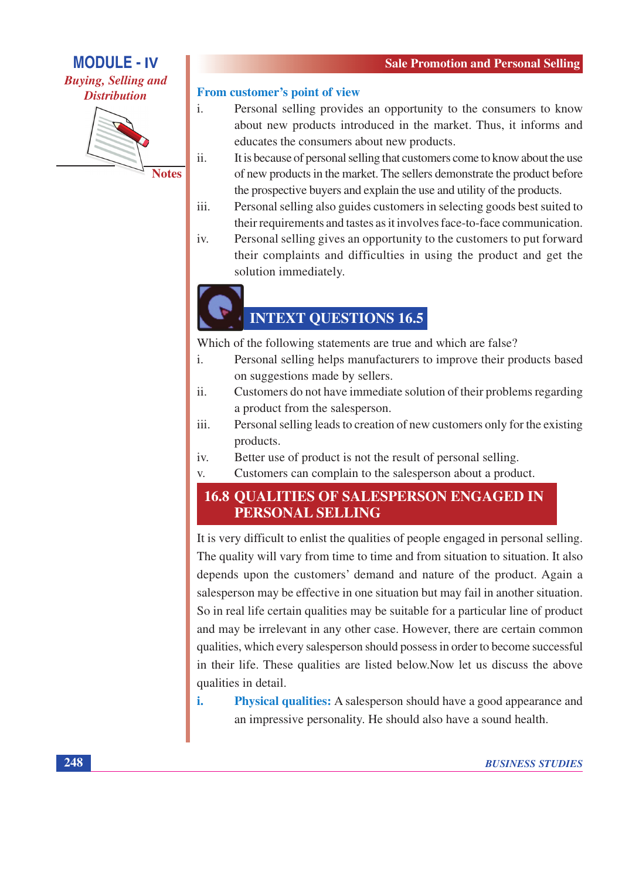**Buying, Selling and Distribution** 



From customer's point of view

- $\mathbf{i}$ . Personal selling provides an opportunity to the consumers to know about new products introduced in the market. Thus, it informs and educates the consumers about new products.
- ii. It is because of personal selling that customers come to know about the use of new products in the market. The sellers demonstrate the product before the prospective buyers and explain the use and utility of the products.
- iii. Personal selling also guides customers in selecting goods best suited to their requirements and tastes as it involves face-to-face communication.
- iv. Personal selling gives an opportunity to the customers to put forward their complaints and difficulties in using the product and get the solution immediately.

# **INTEXT OUESTIONS 16.5**

Which of the following statements are true and which are false?

- $\mathbf{i}$ . Personal selling helps manufacturers to improve their products based on suggestions made by sellers.
- Customers do not have immediate solution of their problems regarding ii. a product from the salesperson.
- Personal selling leads to creation of new customers only for the existing iii. products.
- Better use of product is not the result of personal selling.  $iv.$
- Customers can complain to the salesperson about a product.  $V_{\star}$

### **16.8 OUALITIES OF SALESPERSON ENGAGED IN** PERSONAL SELLING

It is very difficult to enlist the qualities of people engaged in personal selling. The quality will vary from time to time and from situation to situation. It also depends upon the customers' demand and nature of the product. Again a salesperson may be effective in one situation but may fail in another situation. So in real life certain qualities may be suitable for a particular line of product and may be irrelevant in any other case. However, there are certain common qualities, which every salesperson should possess in order to become successful in their life. These qualities are listed below. Now let us discuss the above qualities in detail.

i. Physical qualities: A salesperson should have a good appearance and an impressive personality. He should also have a sound health.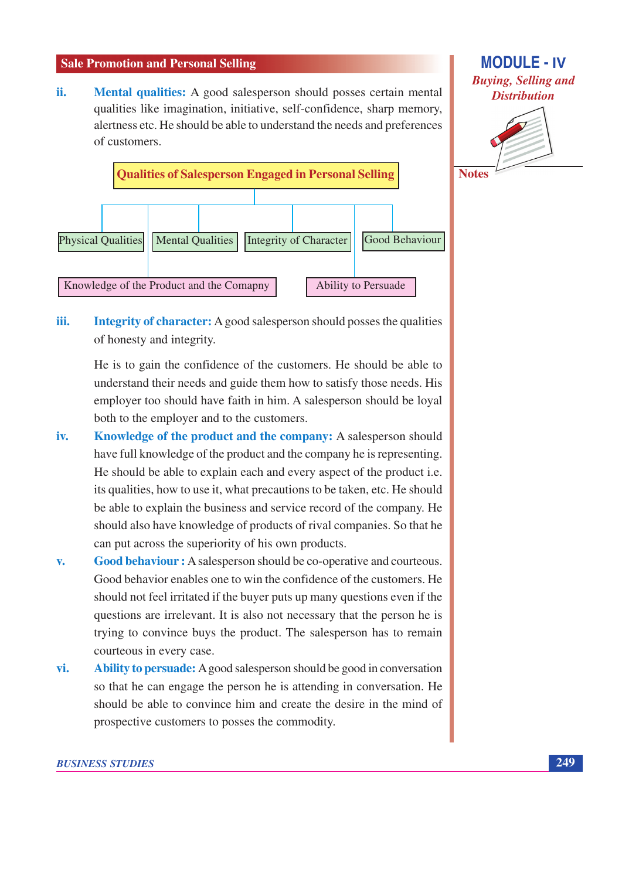**Mental qualities:** A good salesperson should posses certain mental ii. qualities like imagination, initiative, self-confidence, sharp memory, alertness etc. He should be able to understand the needs and preferences of customers.



# **MODULE - IV Buying, Selling and Distribution**



iii. **Integrity of character:** A good salesperson should posses the qualities of honesty and integrity.

He is to gain the confidence of the customers. He should be able to understand their needs and guide them how to satisfy those needs. His employer too should have faith in him. A salesperson should be loyal both to the employer and to the customers.

- Knowledge of the product and the company: A salesperson should iv. have full knowledge of the product and the company he is representing. He should be able to explain each and every aspect of the product *i.e.* its qualities, how to use it, what precautions to be taken, etc. He should be able to explain the business and service record of the company. He should also have knowledge of products of rival companies. So that he can put across the superiority of his own products.
- Good behaviour : A salesperson should be co-operative and courteous.  $\mathbf{v}$ . Good behavior enables one to win the confidence of the customers. He should not feel irritated if the buyer puts up many questions even if the questions are irrelevant. It is also not necessary that the person he is trying to convince buys the product. The salesperson has to remain courteous in every case.
- vi. Ability to persuade: A good salesperson should be good in conversation so that he can engage the person he is attending in conversation. He should be able to convince him and create the desire in the mind of prospective customers to posses the commodity.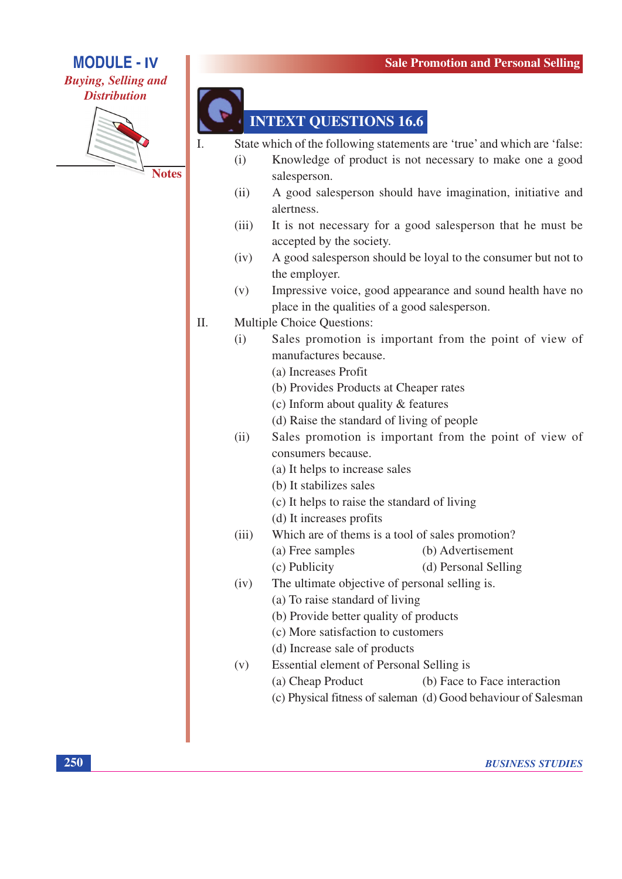

**Buying, Selling and Distribution** 



**INTEXT QUESTIONS 16.6** 

State which of the following statements are 'true' and which are 'false:

- Knowledge of product is not necessary to make one a good  $(i)$ salesperson.
- $(ii)$ A good salesperson should have imagination, initiative and alertness.
- $(iii)$ It is not necessary for a good salesperson that he must be accepted by the society.
- $(iv)$ A good salesperson should be loyal to the consumer but not to the employer.
- $(v)$ Impressive voice, good appearance and sound health have no place in the qualities of a good salesperson.
- Multiple Choice Questions: Π.
	- Sales promotion is important from the point of view of  $(i)$ manufactures because.
		- (a) Increases Profit
		- (b) Provides Products at Cheaper rates
		- (c) Inform about quality & features
		- (d) Raise the standard of living of people
	- Sales promotion is important from the point of view of  $(ii)$ consumers because.
		- (a) It helps to increase sales
		- (b) It stabilizes sales
		- (c) It helps to raise the standard of living
		- (d) It increases profits
	- Which are of thems is a tool of sales promotion?  $(iii)$ 
		- (a) Free samples (b) Advertisement
		- (c) Publicity (d) Personal Selling
	- The ultimate objective of personal selling is.  $(iv)$ 
		- (a) To raise standard of living (b) Provide better quality of products
			- (c) More satisfaction to customers
			- (d) Increase sale of products
	- $(v)$ Essential element of Personal Selling is
		- (a) Cheap Product (b) Face to Face interaction
		- (c) Physical fitness of saleman (d) Good behaviour of Salesman

250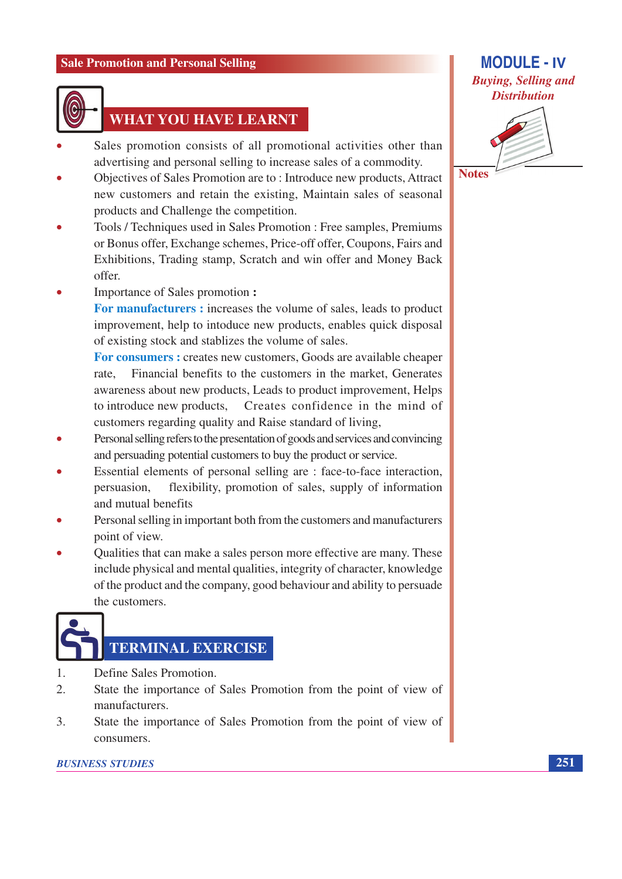

## **WHAT YOU HAVE LEARNT**

- Sales promotion consists of all promotional activities other than advertising and personal selling to increase sales of a commodity.
- Objectives of Sales Promotion are to: Introduce new products, Attract new customers and retain the existing, Maintain sales of seasonal products and Challenge the competition.
- Tools / Techniques used in Sales Promotion : Free samples, Premiums or Bonus offer, Exchange schemes, Price-off offer, Coupons, Fairs and Exhibitions, Trading stamp, Scratch and win offer and Money Back offer.
- Importance of Sales promotion:

For manufacturers : increases the volume of sales, leads to product improvement, help to intoduce new products, enables quick disposal of existing stock and stablizes the volume of sales.

For consumers: creates new customers, Goods are available cheaper Financial benefits to the customers in the market. Generates rate. awareness about new products, Leads to product improvement, Helps to introduce new products. Creates confidence in the mind of customers regarding quality and Raise standard of living,

- Personal selling refers to the presentation of goods and services and convincing and persuading potential customers to buy the product or service.
- Essential elements of personal selling are : face-to-face interaction, flexibility, promotion of sales, supply of information persuasion. and mutual benefits
- Personal selling in important both from the customers and manufacturers point of view.
- Qualities that can make a sales person more effective are many. These include physical and mental qualities, integrity of character, knowledge of the product and the company, good behaviour and ability to persuade the customers.

## **TERMINAL EXERCISE**

- $\overline{1}$ . Define Sales Promotion.
- $2<sub>1</sub>$ State the importance of Sales Promotion from the point of view of manufacturers.
- $\overline{3}$ . State the importance of Sales Promotion from the point of view of consumers.

#### **BUSINESS STUDIES**

### **MODULE - IV Buying, Selling and Distribution**



**Notes** 

251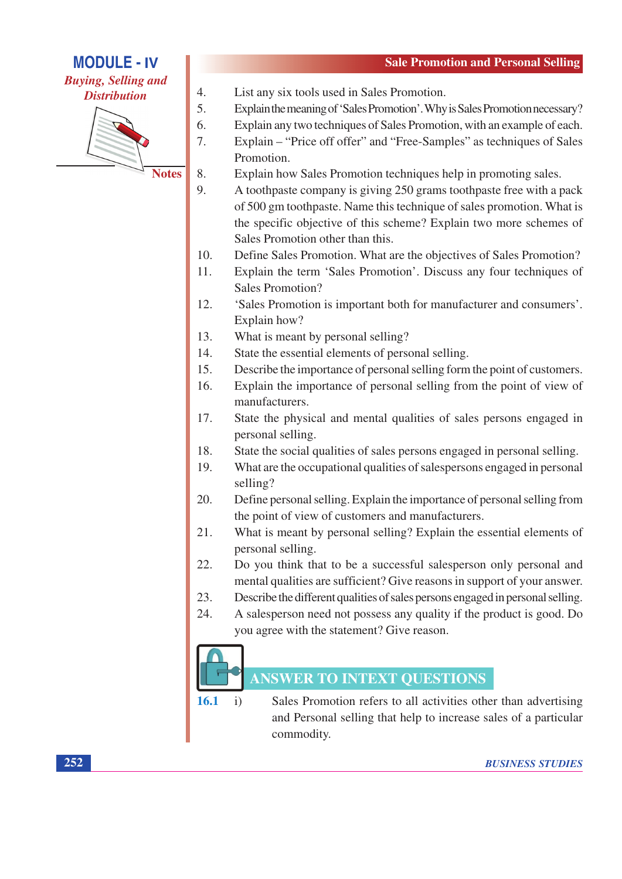**Buying, Selling and Distribution** 



**Notes** 

 $\overline{4}$ .

- List any six tools used in Sales Promotion.
- 5. Explain the meaning of 'Sales Promotion'. Why is Sales Promotion necessary?
- Explain any two techniques of Sales Promotion, with an example of each. 6.
- 7. Explain – "Price off offer" and "Free-Samples" as techniques of Sales Promotion.
- 8. Explain how Sales Promotion techniques help in promoting sales.
- $\overline{9}$ . A toothpaste company is giving 250 grams toothpaste free with a pack of 500 gm toothpaste. Name this technique of sales promotion. What is the specific objective of this scheme? Explain two more schemes of Sales Promotion other than this.
- 10. Define Sales Promotion. What are the objectives of Sales Promotion?
- Explain the term 'Sales Promotion'. Discuss any four techniques of  $11.$ Sales Promotion?
- 12. 'Sales Promotion is important both for manufacturer and consumers'. Explain how?
- 13. What is meant by personal selling?
- $14.$ State the essential elements of personal selling.
- $15.$ Describe the importance of personal selling form the point of customers.
- 16. Explain the importance of personal selling from the point of view of manufacturers.
- State the physical and mental qualities of sales persons engaged in 17. personal selling.
- 18. State the social qualities of sales persons engaged in personal selling.
- What are the occupational qualities of salespersons engaged in personal 19. selling?
- 20. Define personal selling. Explain the importance of personal selling from the point of view of customers and manufacturers.
- $21.$ What is meant by personal selling? Explain the essential elements of personal selling.
- 22. Do you think that to be a successful salesperson only personal and mental qualities are sufficient? Give reasons in support of your answer.
- 23. Describe the different qualities of sales persons engaged in personal selling.
- 24. A salesperson need not possess any quality if the product is good. Do you agree with the statement? Give reason.



## **ANSWER TO INTEXT QUESTIONS**

 $16.1$  $\mathbf{i}$ Sales Promotion refers to all activities other than advertising and Personal selling that help to increase sales of a particular commodity.

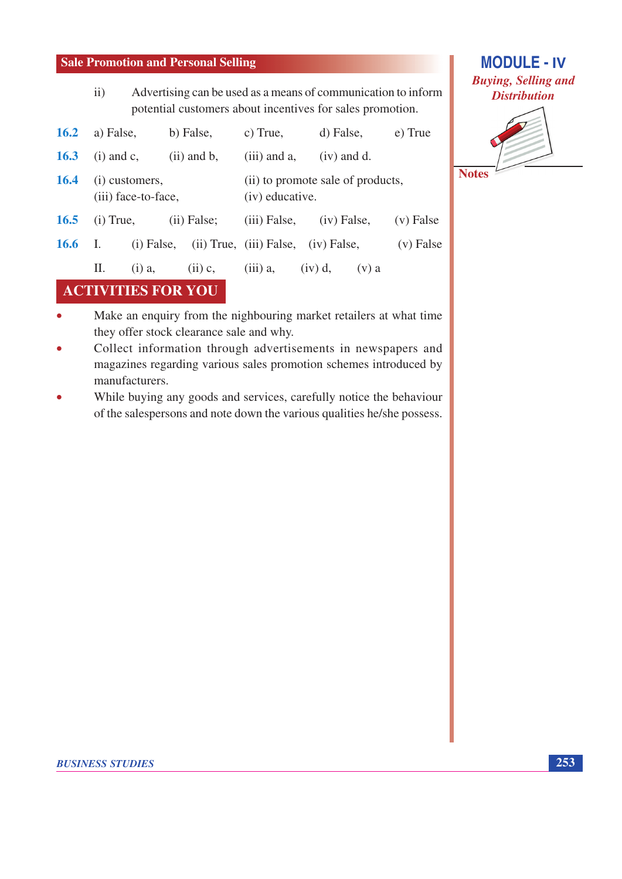Advertising can be used as a means of communication to inform  $\mathbf{ii}$ potential customers about incentives for sales promotion.

| <b>16.2</b> | a) False,                             |              | b) False,        | c) True,                                             | d) False,                           | e) True     |
|-------------|---------------------------------------|--------------|------------------|------------------------------------------------------|-------------------------------------|-------------|
| <b>16.3</b> | $(i)$ and $c$ ,                       |              | $(ii)$ and $b$ , | $(iii)$ and a,                                       | $(iv)$ and d.                       |             |
| <b>16.4</b> | (i) customers,<br>(iii) face-to-face, |              |                  | (ii) to promote sale of products,<br>(iv) educative. |                                     |             |
| <b>16.5</b> | $(i)$ True,                           |              | (ii) False;      | $(iii)$ False,                                       | $(iv)$ False,                       | $(v)$ False |
| <b>16.6</b> | <sup>1.</sup>                         | $(i)$ False, |                  |                                                      | (ii) True, (iii) False, (iv) False, | $(v)$ False |
|             | П.                                    | $(i)$ a,     | $(ii)$ c,        | $(iii)$ a,                                           | $(iv)$ d,<br>$(v)$ a                |             |

## **ACTIVITIES FOR YOU**

- Make an enquiry from the nighbouring market retailers at what time  $\bullet$ they offer stock clearance sale and why.
- Collect information through advertisements in newspapers and  $\bullet$ magazines regarding various sales promotion schemes introduced by manufacturers.
- While buying any goods and services, carefully notice the behaviour  $\bullet$ of the salespersons and note down the various qualities he/she possess.